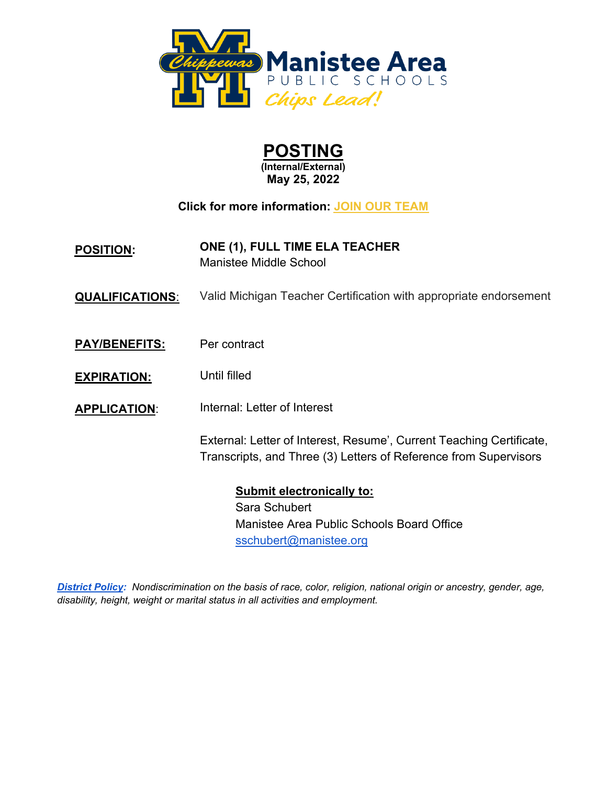

| <b>POSTING</b>      |  |  |
|---------------------|--|--|
| (Internal/External) |  |  |

**May 25, 2022**

**Click for more information: [JOIN OUR TEAM](https://chipslead.org/join-our-team/)**

- **POSITION: ONE (1), FULL TIME ELA TEACHER** Manistee Middle School
- **QUALIFICATIONS:** Valid Michigan Teacher Certification with appropriate endorsement
- **PAY/BENEFITS:** Per contract
- **EXPIRATION:**  Until filled
- **APPLICATION**: Internal: Letter of Interest

External: Letter of Interest, Resume', Current Teaching Certificate, Transcripts, and Three (3) Letters of Reference from Supervisors

> **Submit electronically to:**  Sara Schubert Manistee Area Public Schools Board Office sschubert@manistee.org

*District Policy: Nondiscrimination on the basis of race, color, religion, national origin or ancestry, gender, age, disability, height, weight or marital status in all activities and employment.*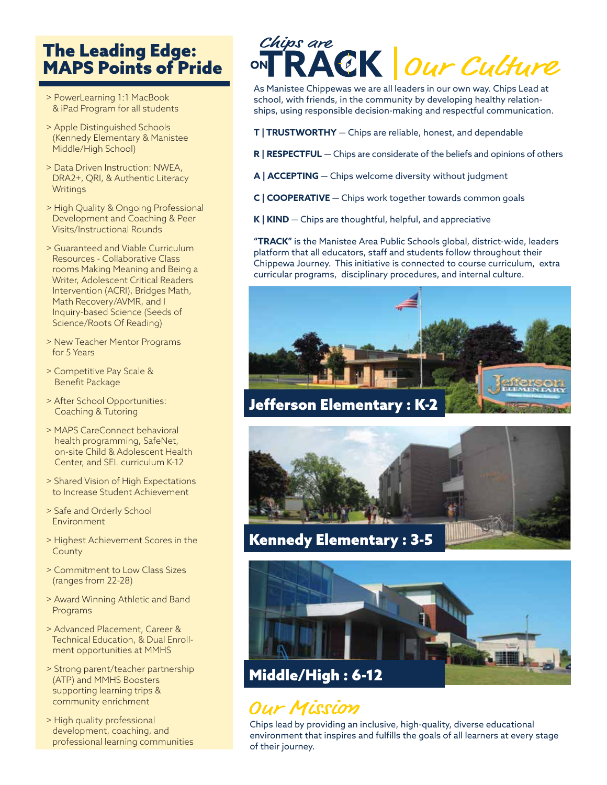### The Leading Edge: MAPS Points of Pride

- > PowerLearning 1:1 MacBook & iPad Program for all students
- > Apple Distinguished Schools (Kennedy Elementary & Manistee Middle/High School)
- > Data Driven Instruction: NWEA, DRA2+, QRI, & Authentic Literacy **Writings**
- > High Quality & Ongoing Professional Development and Coaching & Peer Visits/Instructional Rounds
- > Guaranteed and Viable Curriculum Resources - Collaborative Class rooms Making Meaning and Being a Writer, Adolescent Critical Readers Intervention (ACRI), Bridges Math, Math Recovery/AVMR, and I Inquiry-based Science (Seeds of Science/Roots Of Reading)
- > New Teacher Mentor Programs for 5 Years
- > Competitive Pay Scale & Benefit Package
- > After School Opportunities: Coaching & Tutoring
- > MAPS CareConnect behavioral health programming, SafeNet, on-site Child & Adolescent Health Center, and SEL curriculum K-12
- > Shared Vision of High Expectations to Increase Student Achievement
- > Safe and Orderly School Environment
- > Highest Achievement Scores in the County
- > Commitment to Low Class Sizes (ranges from 22-28)
- > Award Winning Athletic and Band Programs
- > Advanced Placement, Career & Technical Education, & Dual Enroll ment opportunities at MMHS
- > Strong parent/teacher partnership (ATP) and MMHS Boosters supporting learning trips & community enrichment
- > High quality professional development, coaching, and professional learning communities

## Chips are RACK our Culture

As Manistee Chippewas we are all leaders in our own way. Chips Lead at school, with friends, in the community by developing healthy relationships, using responsible decision-making and respectful communication.

- **T | TRUSTWORTHY** Chips are reliable, honest, and dependable
- **R | RESPECTFUL** Chips are considerate of the beliefs and opinions of others
- **A | ACCEPTING** Chips welcome diversity without judgment
- **C | COOPERATIVE** Chips work together towards common goals
- **K | KIND** Chips are thoughtful, helpful, and appreciative

**"TRACK"** is the Manistee Area Public Schools global, district-wide, leaders platform that all educators, staff and students follow throughout their Chippewa Journey. This initiative is connected to course curriculum, extra curricular programs, disciplinary procedures, and internal culture.



Jefferson Elementary : K-2





## Our Mission

Chips lead by providing an inclusive, high-quality, diverse educational environment that inspires and fulfills the goals of all learners at every stage of their journey.